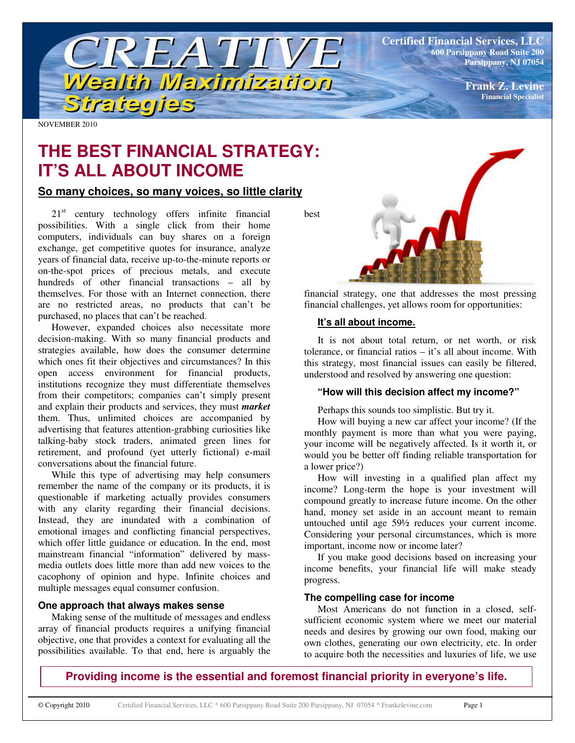**Certified Financial Services, LLC 600 Parsippany Road Suite 200 Parsippany, NJ 07054**

> **Frank Z. Levine Financial Specialist**

NOVEMBER 2010

# **THE BEST FINANCIAL STRATEGY: IT'S ALL ABOUT INCOME**

TREATIVE

Wealth Maximization

# **So many choices, so many voices, so little clarity**

Strategies

21<sup>st</sup> century technology offers infinite financial possibilities. With a single click from their home computers, individuals can buy shares on a foreign exchange, get competitive quotes for insurance, analyze years of financial data, receive up-to-the-minute reports or on-the-spot prices of precious metals, and execute hundreds of other financial transactions – all by themselves. For those with an Internet connection, there are no restricted areas, no products that can't be purchased, no places that can't be reached.

However, expanded choices also necessitate more decision-making. With so many financial products and strategies available, how does the consumer determine which ones fit their objectives and circumstances? In this open access environment for financial products, institutions recognize they must differentiate themselves from their competitors; companies can't simply present and explain their products and services, they must *market* them. Thus, unlimited choices are accompanied by advertising that features attention-grabbing curiosities like talking-baby stock traders, animated green lines for retirement, and profound (yet utterly fictional) e-mail conversations about the financial future.

While this type of advertising may help consumers remember the name of the company or its products, it is questionable if marketing actually provides consumers with any clarity regarding their financial decisions. Instead, they are inundated with a combination of emotional images and conflicting financial perspectives, which offer little guidance or education. In the end, most mainstream financial "information" delivered by massmedia outlets does little more than add new voices to the cacophony of opinion and hype. Infinite choices and multiple messages equal consumer confusion.

# **One approach that always makes sense**

Making sense of the multitude of messages and endless array of financial products requires a unifying financial objective, one that provides a context for evaluating all the possibilities available. To that end, here is arguably the

best



financial strategy, one that addresses the most pressing financial challenges, yet allows room for opportunities:

#### **It's all about income.**

It is not about total return, or net worth, or risk tolerance, or financial ratios – it's all about income. With this strategy, most financial issues can easily be filtered, understood and resolved by answering one question:

## **"How will this decision affect my income?"**

Perhaps this sounds too simplistic. But try it.

How will buying a new car affect your income? (If the monthly payment is more than what you were paying, your income will be negatively affected. Is it worth it, or would you be better off finding reliable transportation for a lower price?)

How will investing in a qualified plan affect my income? Long-term the hope is your investment will compound greatly to increase future income. On the other hand, money set aside in an account meant to remain untouched until age 59½ reduces your current income. Considering your personal circumstances, which is more important, income now or income later?

If you make good decisions based on increasing your income benefits, your financial life will make steady progress.

#### **The compelling case for income**

Most Americans do not function in a closed, selfsufficient economic system where we meet our material needs and desires by growing our own food, making our own clothes, generating our own electricity, etc. In order to acquire both the necessities and luxuries of life, we use

**Providing income is the essential and foremost financial priority in everyone's life.**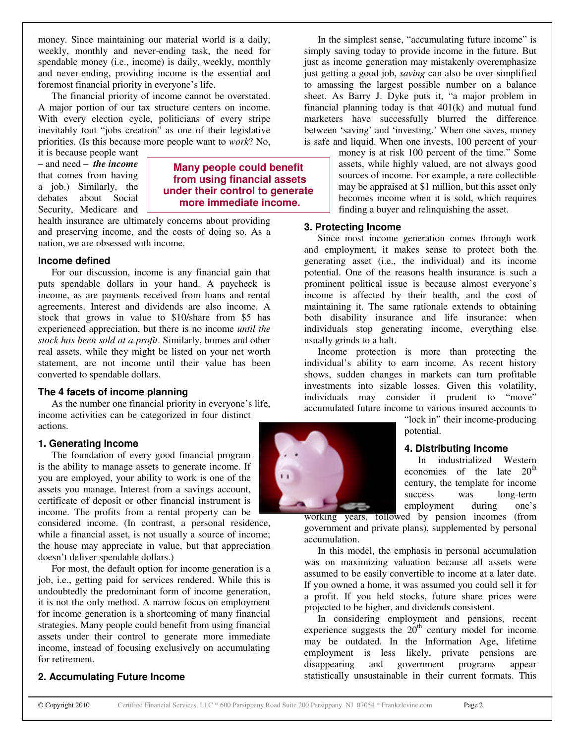money. Since maintaining our material world is a daily, weekly, monthly and never-ending task, the need for spendable money (i.e., income) is daily, weekly, monthly and never-ending, providing income is the essential and foremost financial priority in everyone's life.

The financial priority of income cannot be overstated. A major portion of our tax structure centers on income. With every election cycle, politicians of every stripe inevitably tout "jobs creation" as one of their legislative priorities. (Is this because more people want to *work*? No,

it is because people want – and need – *the income* that comes from having a job.) Similarly, the debates about Social Security, Medicare and

## **Many people could benefit from using financial assets under their control to generate more immediate income.**

health insurance are ultimately concerns about providing and preserving income, and the costs of doing so. As a nation, we are obsessed with income.

#### **Income defined**

For our discussion, income is any financial gain that puts spendable dollars in your hand. A paycheck is income, as are payments received from loans and rental agreements. Interest and dividends are also income. A stock that grows in value to \$10/share from \$5 has experienced appreciation, but there is no income *until the stock has been sold at a profit*. Similarly, homes and other real assets, while they might be listed on your net worth statement, are not income until their value has been converted to spendable dollars.

#### **The 4 facets of income planning**

As the number one financial priority in everyone's life, income activities can be categorized in four distinct actions.

# **1. Generating Income**

The foundation of every good financial program is the ability to manage assets to generate income. If you are employed, your ability to work is one of the assets you manage. Interest from a savings account, certificate of deposit or other financial instrument is income. The profits from a rental property can be

considered income. (In contrast, a personal residence, while a financial asset, is not usually a source of income; the house may appreciate in value, but that appreciation doesn't deliver spendable dollars.)

For most, the default option for income generation is a job, i.e., getting paid for services rendered. While this is undoubtedly the predominant form of income generation, it is not the only method. A narrow focus on employment for income generation is a shortcoming of many financial strategies. Many people could benefit from using financial assets under their control to generate more immediate income, instead of focusing exclusively on accumulating for retirement.

# **2. Accumulating Future Income**

In the simplest sense, "accumulating future income" is simply saving today to provide income in the future. But just as income generation may mistakenly overemphasize just getting a good job, *saving* can also be over-simplified to amassing the largest possible number on a balance sheet. As Barry J. Dyke puts it, "a major problem in financial planning today is that 401(k) and mutual fund marketers have successfully blurred the difference between 'saving' and 'investing.' When one saves, money is safe and liquid. When one invests, 100 percent of your

> money is at risk 100 percent of the time." Some assets, while highly valued, are not always good sources of income. For example, a rare collectible may be appraised at \$1 million, but this asset only becomes income when it is sold, which requires finding a buyer and relinquishing the asset.

# **3. Protecting Income**

Since most income generation comes through work and employment, it makes sense to protect both the generating asset (i.e., the individual) and its income potential. One of the reasons health insurance is such a prominent political issue is because almost everyone's income is affected by their health, and the cost of maintaining it. The same rationale extends to obtaining both disability insurance and life insurance: when individuals stop generating income, everything else usually grinds to a halt.

Income protection is more than protecting the individual's ability to earn income. As recent history shows, sudden changes in markets can turn profitable investments into sizable losses. Given this volatility, individuals may consider it prudent to "move" accumulated future income to various insured accounts to

> "lock in" their income-producing potential.

# **4. Distributing Income**

In industrialized Western economies of the late  $20<sup>th</sup>$ century, the template for income success was long-term employment during one's

working years, followed by pension incomes (from government and private plans), supplemented by personal accumulation.

In this model, the emphasis in personal accumulation was on maximizing valuation because all assets were assumed to be easily convertible to income at a later date. If you owned a home, it was assumed you could sell it for a profit. If you held stocks, future share prices were projected to be higher, and dividends consistent.

In considering employment and pensions, recent experience suggests the  $20<sup>th</sup>$  century model for income may be outdated. In the Information Age, lifetime employment is less likely, private pensions are disappearing and government programs appear statistically unsustainable in their current formats. This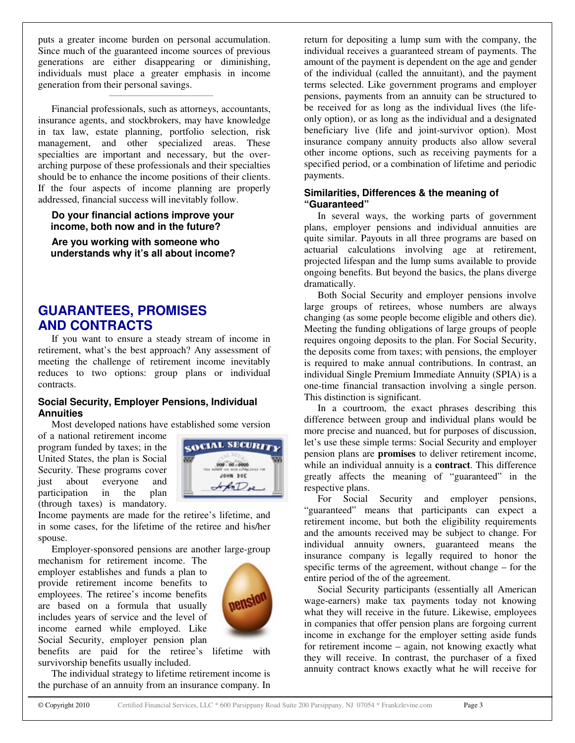puts a greater income burden on personal accumulation. Since much of the guaranteed income sources of previous generations are either disappearing or diminishing, individuals must place a greater emphasis in income generation from their personal savings.

\_\_\_\_\_\_\_\_\_\_\_\_\_\_\_\_\_\_\_\_\_\_\_\_\_\_\_\_\_\_\_\_\_\_\_\_\_

Financial professionals, such as attorneys, accountants, insurance agents, and stockbrokers, may have knowledge in tax law, estate planning, portfolio selection, risk management, and other specialized areas. These specialties are important and necessary, but the overarching purpose of these professionals and their specialties should be to enhance the income positions of their clients. If the four aspects of income planning are properly addressed, financial success will inevitably follow.

#### **Do your financial actions improve your income, both now and in the future?**

**Are you working with someone who understands why it's all about income?**

# **GUARANTEES, PROMISES AND CONTRACTS**

If you want to ensure a steady stream of income in retirement, what's the best approach? Any assessment of meeting the challenge of retirement income inevitably reduces to two options: group plans or individual contracts.

#### **Social Security, Employer Pensions, Individual Annuities**

Most developed nations have established some version

of a national retirement income program funded by taxes; in the United States, the plan is Social Security. These programs cover just about everyone and participation in the plan (through taxes) is mandatory.



Income payments are made for the retiree's lifetime, and in some cases, for the lifetime of the retiree and his/her spouse.

Employer-sponsored pensions are another large-group

mechanism for retirement income. The employer establishes and funds a plan to provide retirement income benefits to employees. The retiree's income benefits are based on a formula that usually includes years of service and the level of income earned while employed. Like Social Security, employer pension plan benefits are paid for the retiree's lifetime with



survivorship benefits usually included.

The individual strategy to lifetime retirement income is the purchase of an annuity from an insurance company. In

return for depositing a lump sum with the company, the individual receives a guaranteed stream of payments. The amount of the payment is dependent on the age and gender of the individual (called the annuitant), and the payment terms selected. Like government programs and employer pensions, payments from an annuity can be structured to be received for as long as the individual lives (the lifeonly option), or as long as the individual and a designated beneficiary live (life and joint-survivor option). Most insurance company annuity products also allow several other income options, such as receiving payments for a specified period, or a combination of lifetime and periodic payments.

## **Similarities, Differences & the meaning of "Guaranteed"**

In several ways, the working parts of government plans, employer pensions and individual annuities are quite similar. Payouts in all three programs are based on actuarial calculations involving age at retirement, projected lifespan and the lump sums available to provide ongoing benefits. But beyond the basics, the plans diverge dramatically.

Both Social Security and employer pensions involve large groups of retirees, whose numbers are always changing (as some people become eligible and others die). Meeting the funding obligations of large groups of people requires ongoing deposits to the plan. For Social Security, the deposits come from taxes; with pensions, the employer is required to make annual contributions. In contrast, an individual Single Premium Immediate Annuity (SPIA) is a one-time financial transaction involving a single person. This distinction is significant.

In a courtroom, the exact phrases describing this difference between group and individual plans would be more precise and nuanced, but for purposes of discussion, let's use these simple terms: Social Security and employer pension plans are **promises** to deliver retirement income, while an individual annuity is a **contract**. This difference greatly affects the meaning of "guaranteed" in the respective plans.

For Social Security and employer pensions, "guaranteed" means that participants can expect a retirement income, but both the eligibility requirements and the amounts received may be subject to change. For individual annuity owners, guaranteed means the insurance company is legally required to honor the specific terms of the agreement, without change – for the entire period of the of the agreement.

Social Security participants (essentially all American wage-earners) make tax payments today not knowing what they will receive in the future. Likewise, employees in companies that offer pension plans are forgoing current income in exchange for the employer setting aside funds for retirement income – again, not knowing exactly what they will receive. In contrast, the purchaser of a fixed annuity contract knows exactly what he will receive for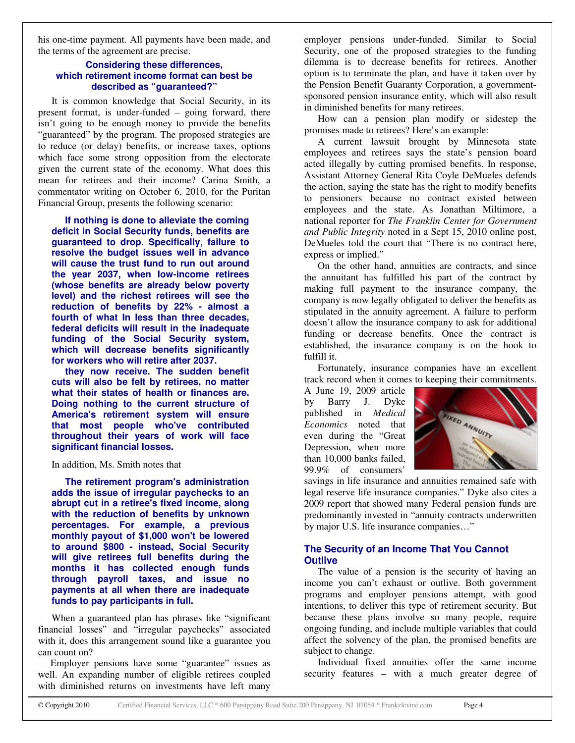his one-time payment. All payments have been made, and the terms of the agreement are precise.

#### **Considering these differences, which retirement income format can best be described as "guaranteed?"**

It is common knowledge that Social Security, in its present format, is under-funded – going forward, there isn't going to be enough money to provide the benefits "guaranteed" by the program. The proposed strategies are to reduce (or delay) benefits, or increase taxes, options which face some strong opposition from the electorate given the current state of the economy. What does this mean for retirees and their income? Carina Smith, a commentator writing on October 6, 2010, for the Puritan Financial Group, presents the following scenario:

**If nothing is done to alleviate the coming deficit in Social Security funds, benefits are guaranteed to drop. Specifically, failure to resolve the budget issues well in advance will cause the trust fund to run out around the year 2037, when low-income retirees (whose benefits are already below poverty level) and the richest retirees will see the reduction of benefits by 22% - almost a fourth of what In less than three decades, federal deficits will result in the inadequate funding of the Social Security system, which will decrease benefits significantly for workers who will retire after 2037.**

**they now receive. The sudden benefit cuts will also be felt by retirees, no matter what their states of health or finances are. Doing nothing to the current structure of America's retirement system will ensure that most people who've contributed throughout their years of work will face significant financial losses.**

#### In addition, Ms. Smith notes that

**The retirement program's administration adds the issue of irregular paychecks to an abrupt cut in a retiree's fixed income, along with the reduction of benefits by unknown percentages. For example, a previous monthly payout of \$1,000 won't be lowered to around \$800 - instead, Social Security will give retirees full benefits during the months it has collected enough funds through payroll taxes, and issue no payments at all when there are inadequate funds to pay participants in full.**

When a guaranteed plan has phrases like "significant financial losses" and "irregular paychecks" associated with it, does this arrangement sound like a guarantee you can count on?

Employer pensions have some "guarantee" issues as well. An expanding number of eligible retirees coupled with diminished returns on investments have left many

employer pensions under-funded. Similar to Social Security, one of the proposed strategies to the funding dilemma is to decrease benefits for retirees. Another option is to terminate the plan, and have it taken over by the Pension Benefit Guaranty Corporation, a governmentsponsored pension insurance entity, which will also result in diminished benefits for many retirees.

How can a pension plan modify or sidestep the promises made to retirees? Here's an example:

A current lawsuit brought by Minnesota state employees and retirees says the state's pension board acted illegally by cutting promised benefits. In response, Assistant Attorney General Rita Coyle DeMueles defends the action, saying the state has the right to modify benefits to pensioners because no contract existed between employees and the state. As Jonathan Miltimore, a national reporter for *The Franklin Center for Government and Public Integrity* noted in a Sept 15, 2010 online post, DeMueles told the court that "There is no contract here, express or implied."

On the other hand, annuities are contracts, and since the annuitant has fulfilled his part of the contract by making full payment to the insurance company, the company is now legally obligated to deliver the benefits as stipulated in the annuity agreement. A failure to perform doesn't allow the insurance company to ask for additional funding or decrease benefits. Once the contract is established, the insurance company is on the hook to fulfill it.

Fortunately, insurance companies have an excellent track record when it comes to keeping their commitments.

A June 19, 2009 article by Barry J. Dyke published in *Medical Economics* noted that even during the "Great Depression, when more than 10,000 banks failed, 99.9% of consumers'



savings in life insurance and annuities remained safe with legal reserve life insurance companies." Dyke also cites a 2009 report that showed many Federal pension funds are predominantly invested in "annuity contracts underwritten by major U.S. life insurance companies…"

# **The Security of an Income That You Cannot Outlive**

The value of a pension is the security of having an income you can't exhaust or outlive. Both government programs and employer pensions attempt, with good intentions, to deliver this type of retirement security. But because these plans involve so many people, require ongoing funding, and include multiple variables that could affect the solvency of the plan, the promised benefits are subject to change.

Individual fixed annuities offer the same income security features – with a much greater degree of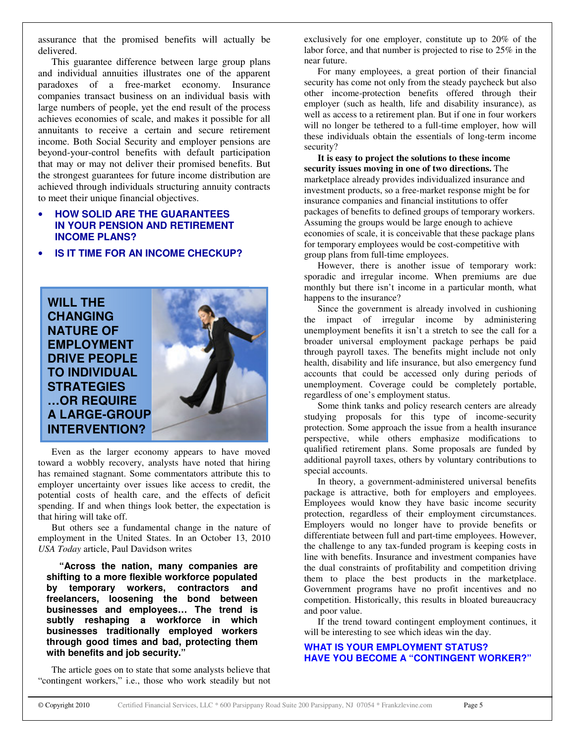assurance that the promised benefits will actually be delivered.

This guarantee difference between large group plans and individual annuities illustrates one of the apparent paradoxes of a free-market economy. Insurance companies transact business on an individual basis with large numbers of people, yet the end result of the process achieves economies of scale, and makes it possible for all annuitants to receive a certain and secure retirement income. Both Social Security and employer pensions are beyond-your-control benefits with default participation that may or may not deliver their promised benefits. But the strongest guarantees for future income distribution are achieved through individuals structuring annuity contracts to meet their unique financial objectives.

# • **HOW SOLID ARE THE GUARANTEES IN YOUR PENSION AND RETIREMENT INCOME PLANS?**

• **IS IT TIME FOR AN INCOME CHECKUP?**



Even as the larger economy appears to have moved toward a wobbly recovery, analysts have noted that hiring has remained stagnant. Some commentators attribute this to employer uncertainty over issues like access to credit, the potential costs of health care, and the effects of deficit spending. If and when things look better, the expectation is that hiring will take off.

But others see a fundamental change in the nature of employment in the United States. In an October 13, 2010 *USA Today* article, Paul Davidson writes

**"Across the nation, many companies are shifting to a more flexible workforce populated by temporary workers, contractors and freelancers, loosening the bond between businesses and employees… The trend is subtly reshaping a workforce in which businesses traditionally employed workers through good times and bad, protecting them with benefits and job security."**

The article goes on to state that some analysts believe that "contingent workers," i.e., those who work steadily but not

exclusively for one employer, constitute up to 20% of the labor force, and that number is projected to rise to 25% in the near future.

For many employees, a great portion of their financial security has come not only from the steady paycheck but also other income-protection benefits offered through their employer (such as health, life and disability insurance), as well as access to a retirement plan. But if one in four workers will no longer be tethered to a full-time employer, how will these individuals obtain the essentials of long-term income security?

**It is easy to project the solutions to these income security issues moving in one of two directions.** The marketplace already provides individualized insurance and investment products, so a free-market response might be for insurance companies and financial institutions to offer packages of benefits to defined groups of temporary workers. Assuming the groups would be large enough to achieve economies of scale, it is conceivable that these package plans for temporary employees would be cost-competitive with group plans from full-time employees.

However, there is another issue of temporary work: sporadic and irregular income. When premiums are due monthly but there isn't income in a particular month, what happens to the insurance?

Since the government is already involved in cushioning the impact of irregular income by administering unemployment benefits it isn't a stretch to see the call for a broader universal employment package perhaps be paid through payroll taxes. The benefits might include not only health, disability and life insurance, but also emergency fund accounts that could be accessed only during periods of unemployment. Coverage could be completely portable, regardless of one's employment status.

Some think tanks and policy research centers are already studying proposals for this type of income-security protection. Some approach the issue from a health insurance perspective, while others emphasize modifications to qualified retirement plans. Some proposals are funded by additional payroll taxes, others by voluntary contributions to special accounts.

In theory, a government-administered universal benefits package is attractive, both for employers and employees. Employees would know they have basic income security protection, regardless of their employment circumstances. Employers would no longer have to provide benefits or differentiate between full and part-time employees. However, the challenge to any tax-funded program is keeping costs in line with benefits. Insurance and investment companies have the dual constraints of profitability and competition driving them to place the best products in the marketplace. Government programs have no profit incentives and no competition. Historically, this results in bloated bureaucracy and poor value.

If the trend toward contingent employment continues, it will be interesting to see which ideas win the day.

#### **WHAT IS YOUR EMPLOYMENT STATUS? HAVE YOU BECOME A "CONTINGENT WORKER?"**